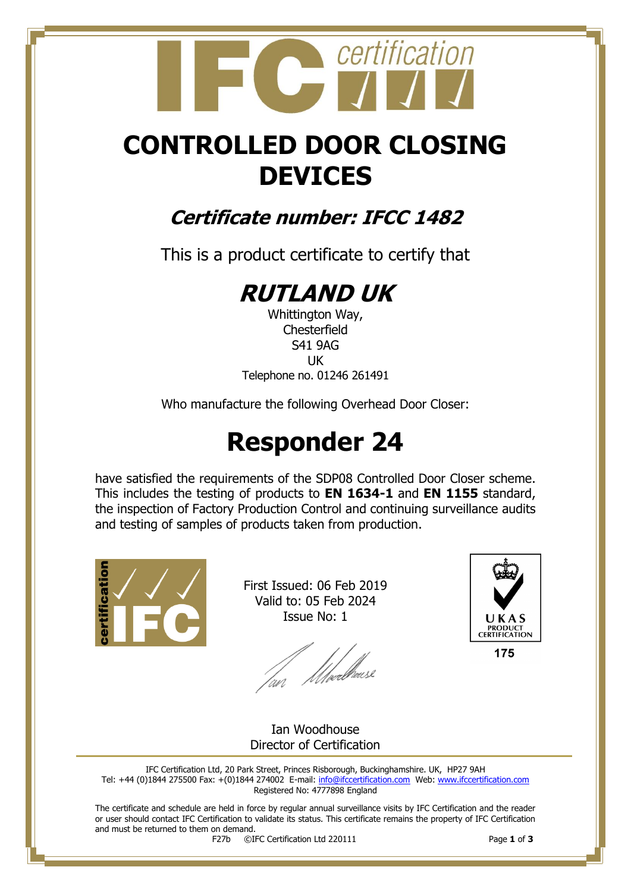## certification

## **CONTROLLED DOOR CLOSING DEVICES**

### **Certificate number: IFCC 1482**

This is a product certificate to certify that

## **RUTLAND UK**

Whittington Way, **Chesterfield** S41 9AG UK Telephone no. 01246 261491

Who manufacture the following Overhead Door Closer:

## **Responder 24**

have satisfied the requirements of the SDP08 Controlled Door Closer scheme. This includes the testing of products to **EN 1634-1** and **EN 1155** standard, the inspection of Factory Production Control and continuing surveillance audits and testing of samples of products taken from production.



First Issued: 06 Feb 2019 Valid to: 05 Feb 2024 Issue No: 1

lan Moedhouse



175

Ian Woodhouse Director of Certification

IFC Certification Ltd, 20 Park Street, Princes Risborough, Buckinghamshire. UK, HP27 9AH Tel: +44 (0)1844 275500 Fax: +(0)1844 274002 E-mail[: info@ifccertification.com](mailto:info@ifccertification.com) Web: [www.ifccertification.com](http://www.ifccertification.com/) Registered No: 4777898 England

The certificate and schedule are held in force by regular annual surveillance visits by IFC Certification and the reader or user should contact IFC Certification to validate its status. This certificate remains the property of IFC Certification and must be returned to them on demand.<br> $F27b$   $\odot$ I

F27b ©IFC Certification Ltd 220111 Page **1** of **3**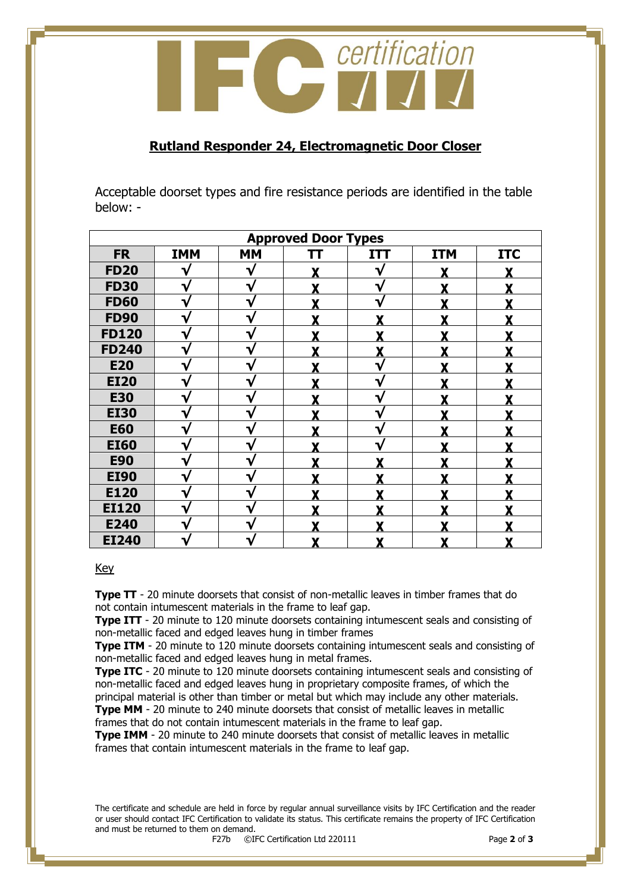

#### **Rutland Responder 24, Electromagnetic Door Closer**

Acceptable doorset types and fire resistance periods are identified in the table below: -

| <b>Approved Door Types</b> |            |              |    |              |            |            |  |  |  |
|----------------------------|------------|--------------|----|--------------|------------|------------|--|--|--|
| <b>FR</b>                  | <b>IMM</b> | <b>MM</b>    | TΤ | <b>ITT</b>   | <b>ITM</b> | <b>ITC</b> |  |  |  |
| <b>FD20</b>                | V          | V            |    | V            | Y          |            |  |  |  |
| <b>FD30</b>                | V          | ٦            |    | $\mathbf{v}$ | v          |            |  |  |  |
| <b>FD60</b>                | V          | ∿            |    | V            |            |            |  |  |  |
| <b>FD90</b>                | √          | ν            |    | v            | v          |            |  |  |  |
| <b>FD120</b>               | V          | $\mathbf{v}$ | v  | v            | v          |            |  |  |  |
| <b>FD240</b>               | V          | v            | v  | v            | v          |            |  |  |  |
| <b>E20</b>                 |            |              |    | ٦.           |            |            |  |  |  |
| <b>EI20</b>                | V          |              |    | ٦.           |            |            |  |  |  |
| <b>E30</b>                 | V          |              |    | ٦.           |            |            |  |  |  |
| <b>EI30</b>                | V          | ∿            |    | ٦.           |            |            |  |  |  |
| <b>E60</b>                 | V          | ∿            |    | ٦.           |            |            |  |  |  |
| <b>EI60</b>                | V          | v            |    |              | v          |            |  |  |  |
| <b>E90</b>                 | V          |              |    |              |            |            |  |  |  |
| <b>EI90</b>                |            |              |    |              |            |            |  |  |  |
| E120                       | V          |              |    |              |            |            |  |  |  |
| <b>EI120</b>               | ٦ν         |              |    |              |            |            |  |  |  |
| E240                       | V          |              |    |              |            |            |  |  |  |
| <b>EI240</b>               | V          |              |    |              |            |            |  |  |  |

#### Key

**Type TT** - 20 minute doorsets that consist of non-metallic leaves in timber frames that do not contain intumescent materials in the frame to leaf gap.

**Type ITT** - 20 minute to 120 minute doorsets containing intumescent seals and consisting of non-metallic faced and edged leaves hung in timber frames

**Type ITM** - 20 minute to 120 minute doorsets containing intumescent seals and consisting of non-metallic faced and edged leaves hung in metal frames.

**Type ITC** - 20 minute to 120 minute doorsets containing intumescent seals and consisting of non-metallic faced and edged leaves hung in proprietary composite frames, of which the principal material is other than timber or metal but which may include any other materials. **Type MM** - 20 minute to 240 minute doorsets that consist of metallic leaves in metallic

frames that do not contain intumescent materials in the frame to leaf gap.

**Type IMM** - 20 minute to 240 minute doorsets that consist of metallic leaves in metallic frames that contain intumescent materials in the frame to leaf gap.

The certificate and schedule are held in force by regular annual surveillance visits by IFC Certification and the reader or user should contact IFC Certification to validate its status. This certificate remains the property of IFC Certification and must be returned to them on demand.<br> $F27b$   $\odot$ I

F27b ©IFC Certification Ltd 220111 Page **2** of **3**